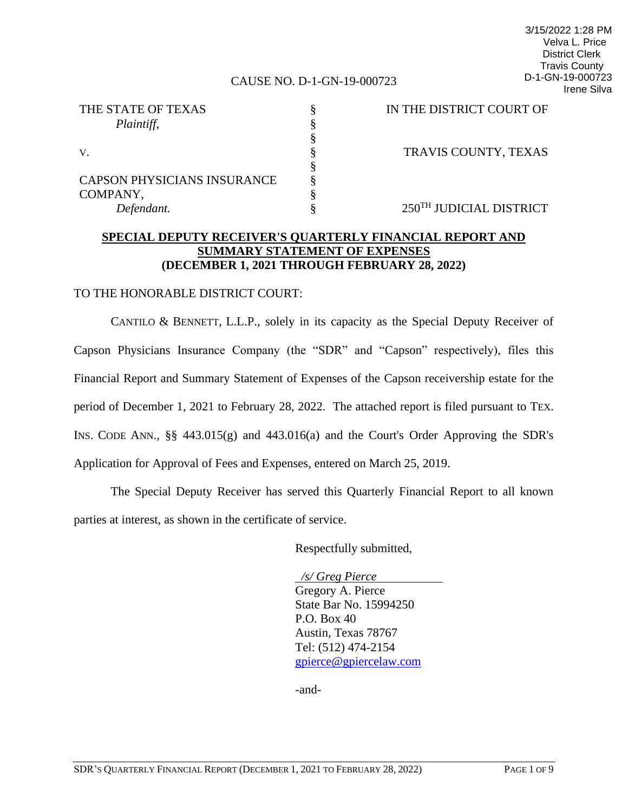#### CAUSE NO. D-1-GN-19-000723

3/15/2022 1:28 PM Velva L. Price District Clerk Travis County D-1-GN-19-000723 Irene Silva

| THE STATE OF TEXAS                 | IN THE DISTRICT COURT OF |
|------------------------------------|--------------------------|
| Plaintiff,                         |                          |
|                                    |                          |
| V.                                 | TRAVIS COUNTY, TEXAS     |
|                                    |                          |
| <b>CAPSON PHYSICIANS INSURANCE</b> |                          |
| COMPANY,                           |                          |
| Defendant.                         | 250TH JUDICIAL DISTRICT  |

## **SPECIAL DEPUTY RECEIVER'S QUARTERLY FINANCIAL REPORT AND SUMMARY STATEMENT OF EXPENSES (DECEMBER 1, 2021 THROUGH FEBRUARY 28, 2022)**

#### TO THE HONORABLE DISTRICT COURT:

CANTILO & BENNETT, L.L.P., solely in its capacity as the Special Deputy Receiver of Capson Physicians Insurance Company (the "SDR" and "Capson" respectively), files this Financial Report and Summary Statement of Expenses of the Capson receivership estate for the period of December 1, 2021 to February 28, 2022. The attached report is filed pursuant to TEX. INS. CODE ANN., §§ 443.015(g) and 443.016(a) and the Court's Order Approving the SDR's Application for Approval of Fees and Expenses, entered on March 25, 2019.

The Special Deputy Receiver has served this Quarterly Financial Report to all known parties at interest, as shown in the certificate of service.

Respectfully submitted,

 */s/ Greg Pierce* Gregory A. Pierce State Bar No. 15994250 P.O. Box 40 Austin, Texas 78767 Tel: (512) 474-2154 [gpierce@gpiercelaw.com](mailto:gpierce@gpiercelaw.com)

-and-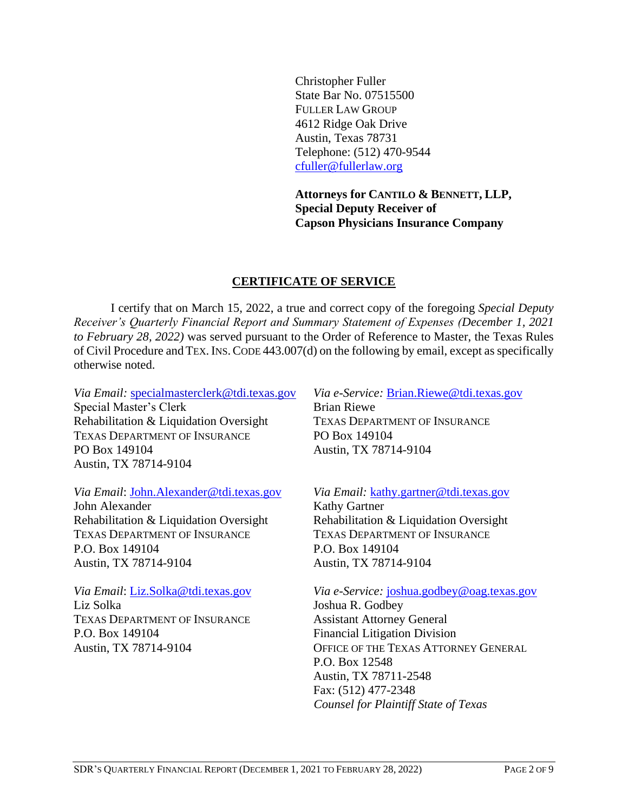Christopher Fuller State Bar No. 07515500 FULLER LAW GROUP 4612 Ridge Oak Drive Austin, Texas 78731 Telephone: (512) 470-9544 [cfuller@fullerlaw.org](mailto:cfuller@fullerlaw.org)

**Attorneys for CANTILO & BENNETT, LLP, Special Deputy Receiver of Capson Physicians Insurance Company**

## **CERTIFICATE OF SERVICE**

I certify that on March 15, 2022, a true and correct copy of the foregoing *Special Deputy Receiver's Quarterly Financial Report and Summary Statement of Expenses (December 1, 2021 to February 28, 2022)* was served pursuant to the Order of Reference to Master, the Texas Rules of Civil Procedure and TEX.INS.CODE 443.007(d) on the following by email, except as specifically otherwise noted.

*Via Email:* [specialmasterclerk@tdi.texas.gov](mailto:specialmasterclerk@tdi.texas.gov) Special Master's Clerk Rehabilitation & Liquidation Oversight TEXAS DEPARTMENT OF INSURANCE PO Box 149104 Austin, TX 78714-9104

*Via Email*: [John.Alexander@tdi.texas.gov](mailto:John.Alexander@tdi.texas.gov)

John Alexander Rehabilitation & Liquidation Oversight TEXAS DEPARTMENT OF INSURANCE P.O. Box 149104 Austin, TX 78714-9104

*Via Email*: [Liz.Solka@tdi.texas.gov](mailto:Liz.Solka@tdi.texas.gov) Liz Solka TEXAS DEPARTMENT OF INSURANCE P.O. Box 149104 Austin, TX 78714-9104

*Via e-Service:* [Brian.Riewe@tdi.texas.gov](mailto:Brian.Riewe@tdi.texas.gov) Brian Riewe TEXAS DEPARTMENT OF INSURANCE PO Box 149104 Austin, TX 78714-9104

#### *Via Email:* [kathy.gartner@tdi.texas.gov](mailto:kathy.gartner@tdi.texas.gov)

Kathy Gartner Rehabilitation & Liquidation Oversight TEXAS DEPARTMENT OF INSURANCE P.O. Box 149104 Austin, TX 78714-9104

*Via e-Service:* [joshua.godbey@oag.texas.gov](mailto:Kaitlyn.Yost@oag.texas.gov) Joshua R. Godbey Assistant Attorney General Financial Litigation Division OFFICE OF THE TEXAS ATTORNEY GENERAL P.O. Box 12548 Austin, TX 78711-2548 Fax: (512) 477-2348 *Counsel for Plaintiff State of Texas*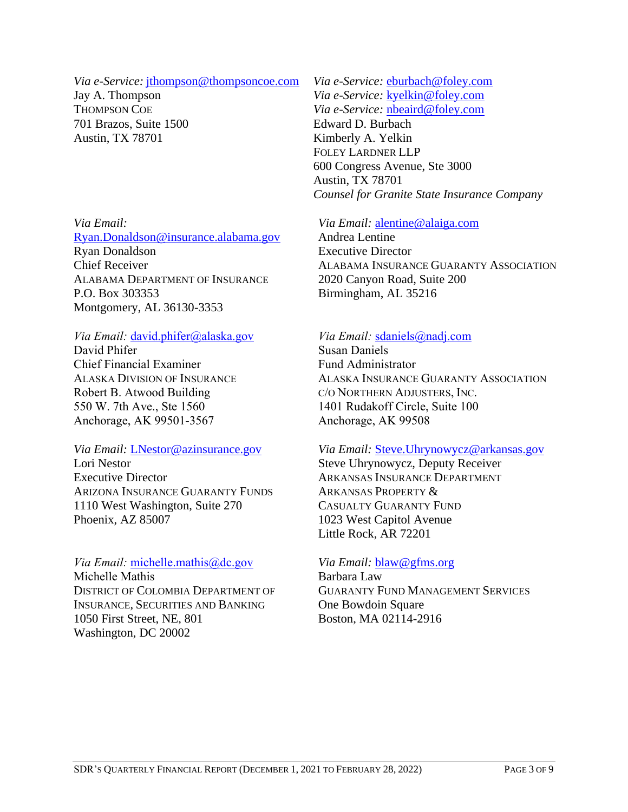#### *Via e-Service:* [jthompson@thompsoncoe.com](javascript:mailTo(%22jthompson@thompsoncoe.com%22))

Jay A. Thompson THOMPSON COE 701 Brazos, Suite 1500 Austin, TX 78701

*Via Email:*

[Ryan.Donaldson@insurance.alabama.gov](mailto:Ryan.Donaldson@insurance.alabama.gov) Ryan Donaldson Chief Receiver ALABAMA DEPARTMENT OF INSURANCE P.O. Box 303353 Montgomery, AL 36130-3353

## *Via Email:* [david.phifer@alaska.gov](mailto:david.phifer@alaska.gov)

David Phifer Chief Financial Examiner ALASKA DIVISION OF INSURANCE Robert B. Atwood Building 550 W. 7th Ave., Ste 1560 Anchorage, AK 99501-3567

#### *Via Email:* [LNestor@azinsurance.gov](mailto:LNestor@azinsurance.gov)

Lori Nestor Executive Director ARIZONA INSURANCE GUARANTY FUNDS 1110 West Washington, Suite 270 Phoenix, AZ 85007

*Via Email:* [michelle.mathis@dc.gov](mailto:michelle.mathis@dc.gov) Michelle Mathis DISTRICT OF COLOMBIA DEPARTMENT OF INSURANCE, SECURITIES AND BANKING 1050 First Street, NE, 801 Washington, DC 20002

*Via e-Service:* [eburbach@foley.com](mailto:eburbach@foley.com) *Via e-Service:* [kyelkin@foley.com](mailto:kyelkin@foley.com) *Via e-Service:* [nbeaird@foley.com](mailto:nbeaird@foley.com) Edward D. Burbach Kimberly A. Yelkin FOLEY LARDNER LLP 600 Congress Avenue, Ste 3000 Austin, TX 78701 *Counsel for Granite State Insurance Company*

## *Via Email:* [alentine@alaiga.com](mailto:alentine@alaiga.com)

Andrea Lentine Executive Director ALABAMA INSURANCE GUARANTY ASSOCIATION 2020 Canyon Road, Suite 200 Birmingham, AL 35216

## *Via Email:* [sdaniels@nadj.com](mailto:sdaniels@nadj.com)

Susan Daniels Fund Administrator ALASKA INSURANCE GUARANTY ASSOCIATION C/O NORTHERN ADJUSTERS, INC. 1401 Rudakoff Circle, Suite 100 Anchorage, AK 99508

#### *Via Email:* [Steve.Uhrynowycz@arkansas.gov](mailto:Steve.Uhrynowycz@arkansas.gov)

Steve Uhrynowycz, Deputy Receiver ARKANSAS INSURANCE DEPARTMENT ARKANSAS PROPERTY & CASUALTY GUARANTY FUND 1023 West Capitol Avenue Little Rock, AR 72201

## *Via Email:* [blaw@gfms.org](mailto:blaw@gfms.org)

Barbara Law GUARANTY FUND MANAGEMENT SERVICES One Bowdoin Square Boston, MA 02114-2916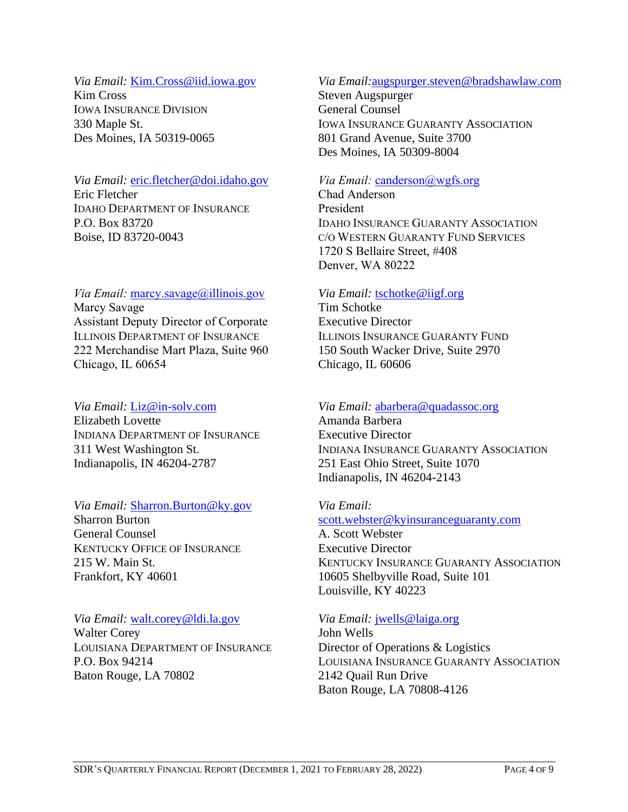## *Via Email:* [Kim.Cross@iid.iowa.gov](mailto:Kim.Cross@iid.iowa.gov) Kim Cross IOWA INSURANCE DIVISION 330 Maple St.

Des Moines, IA 50319-0065

## *Via Email:* [eric.fletcher@doi.idaho.gov](mailto:eric.fletcher@doi.idaho.gov) Eric Fletcher IDAHO DEPARTMENT OF INSURANCE P.O. Box 83720 Boise, ID 83720-0043

### *Via Email:* [marcy.savage@illinois.gov](mailto:marcy.savage@illinois.gov) Marcy Savage Assistant Deputy Director of Corporate ILLINOIS DEPARTMENT OF INSURANCE 222 Merchandise Mart Plaza, Suite 960 Chicago, IL 60654

# *Via Email:* [Liz@in-solv.com](mailto:Liz@in-solv.com)

Elizabeth Lovette INDIANA DEPARTMENT OF INSURANCE 311 West Washington St. Indianapolis, IN 46204-2787

# *Via Email:* [Sharron.Burton@ky.gov](mailto:Sharron.Burton@ky.gov)

Sharron Burton General Counsel KENTUCKY OFFICE OF INSURANCE 215 W. Main St. Frankfort, KY 40601

# *Via Email:* [walt.corey@ldi.la.gov](mailto:walt.corey@ldi.la.gov)

Walter Corey LOUISIANA DEPARTMENT OF INSURANCE P.O. Box 94214 Baton Rouge, LA 70802

# *Via Email:*[augspurger.steven@bradshawlaw.com](mailto:augspurger.steven@bradshawlaw.com)

Steven Augspurger General Counsel IOWA INSURANCE GUARANTY ASSOCIATION 801 Grand Avenue, Suite 3700 Des Moines, IA 50309-8004

# *Via Email:* [canderson@wgfs.org](mailto:canderson@wgfs.org)

Chad Anderson President IDAHO INSURANCE GUARANTY ASSOCIATION C/O WESTERN GUARANTY FUND SERVICES 1720 S Bellaire Street, #408 Denver, WA 80222

## *Via Email:* [tschotke@iigf.org](mailto:tschotke@iigf.org)

Tim Schotke Executive Director ILLINOIS INSURANCE GUARANTY FUND 150 South Wacker Drive, Suite 2970 Chicago, IL 60606

# *Via Email:* [abarbera@quadassoc.org](mailto:abarbera@quadassoc.org)

Amanda Barbera Executive Director INDIANA INSURANCE GUARANTY ASSOCIATION 251 East Ohio Street, Suite 1070 Indianapolis, IN 46204-2143

## *Via Email:*

[scott.webster@kyinsuranceguaranty.com](mailto:scott.webster@kyinsuranceguaranty.com)

A. Scott Webster Executive Director KENTUCKY INSURANCE GUARANTY ASSOCIATION 10605 Shelbyville Road, Suite 101 Louisville, KY 40223

# *Via Email:* [jwells@laiga.org](mailto:jwells@laiga.org)

John Wells Director of Operations & Logistics LOUISIANA INSURANCE GUARANTY ASSOCIATION 2142 Quail Run Drive Baton Rouge, LA 70808-4126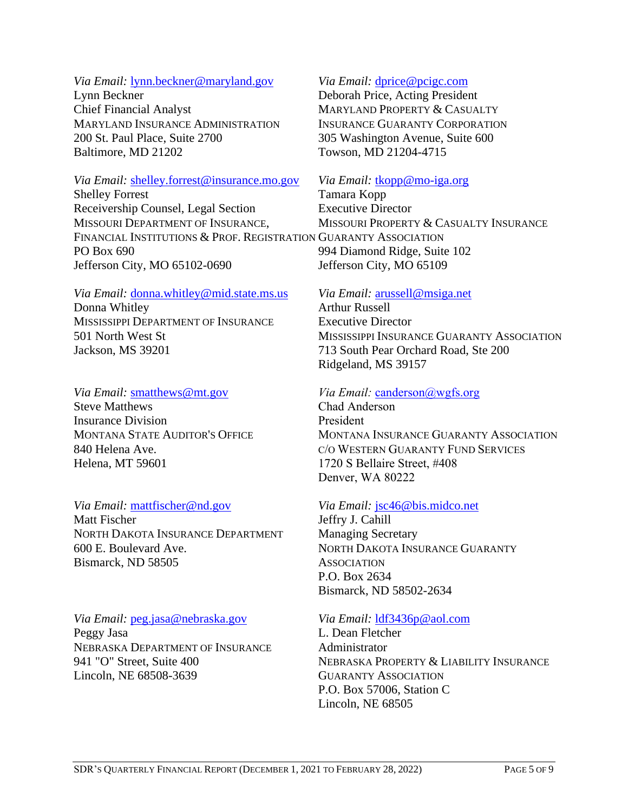## *Via Email:* [lynn.beckner@maryland.gov](mailto:lynn.beckner@maryland.gov)

Lynn Beckner Chief Financial Analyst MARYLAND INSURANCE ADMINISTRATION 200 St. Paul Place, Suite 2700 Baltimore, MD 21202

#### *Via Email:* [shelley.forrest@insurance.mo.gov](mailto:shelley.forrest@insurance.mo.gov)

Shelley Forrest Receivership Counsel, Legal Section MISSOURI DEPARTMENT OF INSURANCE, FINANCIAL INSTITUTIONS & PROF. REGISTRATION GUARANTY ASSOCIATION PO Box 690 Jefferson City, MO 65102-0690

#### *Via Email:* [donna.whitley@mid.state.ms.us](mailto:donna.whitley@mid.state.ms.us)

Donna Whitley MISSISSIPPI DEPARTMENT OF INSURANCE 501 North West St Jackson, MS 39201

#### *Via Email:* [smatthews@mt.gov](mailto:smatthews@mt.gov)

Steve Matthews Insurance Division MONTANA STATE AUDITOR'S OFFICE 840 Helena Ave. Helena, MT 59601

#### *Via Email:* [mattfischer@nd.gov](mailto:mattfischer@nd.gov)

Matt Fischer NORTH DAKOTA INSURANCE DEPARTMENT 600 E. Boulevard Ave. Bismarck, ND 58505

# *Via Email:* [peg.jasa@nebraska.gov](mailto:peg.jasa@nebraska.gov)

Peggy Jasa NEBRASKA DEPARTMENT OF INSURANCE 941 "O" Street, Suite 400 Lincoln, NE 68508-3639

#### *Via Email:* [dprice@pcigc.com](mailto:dprice@pcigc.com)

Deborah Price, Acting President MARYLAND PROPERTY & CASUALTY INSURANCE GUARANTY CORPORATION 305 Washington Avenue, Suite 600 Towson, MD 21204-4715

## *Via Email:* [tkopp@mo-iga.org](mailto:tkopp@mo-iga.org)

Tamara Kopp Executive Director MISSOURI PROPERTY & CASUALTY INSURANCE 994 Diamond Ridge, Suite 102 Jefferson City, MO 65109

## *Via Email:* [arussell@msiga.net](mailto:arussell@msiga.net)

Arthur Russell Executive Director MISSISSIPPI INSURANCE GUARANTY ASSOCIATION 713 South Pear Orchard Road, Ste 200 Ridgeland, MS 39157

## *Via Email:* [canderson@wgfs.org](mailto:canderson@wgfs.org)

Chad Anderson President MONTANA INSURANCE GUARANTY ASSOCIATION C/O WESTERN GUARANTY FUND SERVICES 1720 S Bellaire Street, #408 Denver, WA 80222

#### *Via Email:* [jsc46@bis.midco.net](mailto:jsc46@bis.midco.net)

Jeffry J. Cahill Managing Secretary NORTH DAKOTA INSURANCE GUARANTY **ASSOCIATION** P.O. Box 2634 Bismarck, ND 58502-2634

## *Via Email:* [ldf3436p@aol.com](mailto:ldf3436p@aol.com)

L. Dean Fletcher Administrator NEBRASKA PROPERTY & LIABILITY INSURANCE GUARANTY ASSOCIATION P.O. Box 57006, Station C Lincoln, NE 68505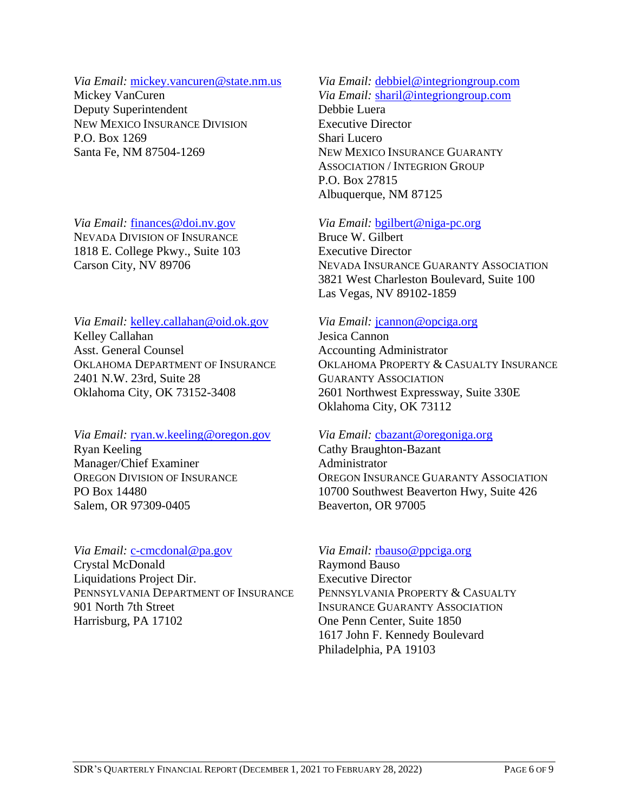## *Via Email:* [mickey.vancuren@state.nm.us](mailto:mickey.vancuren@state.nm.us)

Mickey VanCuren Deputy Superintendent NEW MEXICO INSURANCE DIVISION P.O. Box 1269 Santa Fe, NM 87504-1269

*Via Email:* [finances@doi.nv.gov](mailto:finances@doi.nv.gov) NEVADA DIVISION OF INSURANCE 1818 E. College Pkwy., Suite 103 Carson City, NV 89706

*Via Email:* [kelley.callahan@oid.ok.gov](mailto:kelley.callahan@oid.ok.gov) Kelley Callahan Asst. General Counsel OKLAHOMA DEPARTMENT OF INSURANCE 2401 N.W. 23rd, Suite 28 Oklahoma City, OK 73152-3408

#### *Via Email:* [ryan.w.keeling@oregon.gov](mailto:ryan.w.keeling@oregon.gov) Ryan Keeling Manager/Chief Examiner OREGON DIVISION OF INSURANCE PO Box 14480 Salem, OR 97309-0405

# *Via Email:* [c-cmcdonal@pa.gov](mailto:c-cmcdonal@pa.gov)

Crystal McDonald Liquidations Project Dir. PENNSYLVANIA DEPARTMENT OF INSURANCE 901 North 7th Street Harrisburg, PA 17102

# *Via Email:* [debbiel@integriongroup.com](mailto:debbiel@integriongroup.com)

*Via Email:* [sharil@integriongroup.com](mailto:sharil@integriongroup.com) Debbie Luera Executive Director Shari Lucero NEW MEXICO INSURANCE GUARANTY ASSOCIATION / INTEGRION GROUP P.O. Box 27815 Albuquerque, NM 87125

## *Via Email:* [bgilbert@niga-pc.org](mailto:bgilbert@niga-pc.org)

Bruce W. Gilbert Executive Director NEVADA INSURANCE GUARANTY ASSOCIATION 3821 West Charleston Boulevard, Suite 100 Las Vegas, NV 89102-1859

## *Via Email:* [jcannon@opciga.org](mailto:jcannon@opciga.org)

Jesica Cannon Accounting Administrator OKLAHOMA PROPERTY & CASUALTY INSURANCE GUARANTY ASSOCIATION 2601 Northwest Expressway, Suite 330E Oklahoma City, OK 73112

#### *Via Email:* cbazant@oregoniga.org

Cathy Braughton-Bazant Administrator OREGON INSURANCE GUARANTY ASSOCIATION 10700 Southwest Beaverton Hwy, Suite 426 Beaverton, OR 97005

# *Via Email:* [rbauso@ppciga.org](mailto:sperrone@ppciga.org)

Raymond Bauso Executive Director PENNSYLVANIA PROPERTY & CASUALTY INSURANCE GUARANTY ASSOCIATION One Penn Center, Suite 1850 1617 John F. Kennedy Boulevard Philadelphia, PA 19103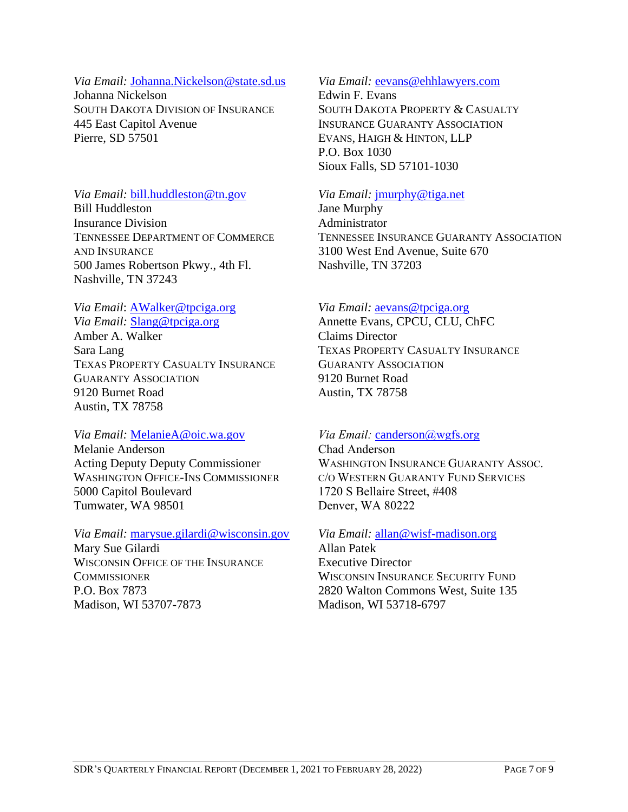#### *Via Email:* [Johanna.Nickelson@state.sd.us](mailto:Johanna.Nickelson@state.sd.us)

Johanna Nickelson SOUTH DAKOTA DIVISION OF INSURANCE 445 East Capitol Avenue Pierre, SD 57501

## *Via Email:* [bill.huddleston@tn.gov](mailto:bill.huddleston@tn.gov)

Bill Huddleston Insurance Division TENNESSEE DEPARTMENT OF COMMERCE AND INSURANCE 500 James Robertson Pkwy., 4th Fl. Nashville, TN 37243

## *Via Email*: [AWalker@tpciga.org](mailto:AWalker@tpciga.org)

*Via Email:* Slang@tpciga.org Amber A. Walker Sara Lang TEXAS PROPERTY CASUALTY INSURANCE GUARANTY ASSOCIATION 9120 Burnet Road Austin, TX 78758

#### *Via Email:* [MelanieA@oic.wa.gov](mailto:dough@oic.wa.gov)

Melanie Anderson Acting Deputy Deputy Commissioner WASHINGTON OFFICE-INS COMMISSIONER 5000 Capitol Boulevard Tumwater, WA 98501

#### *Via Email:* [marysue.gilardi@wisconsin.gov](mailto:marysue.gilardi@wisconsin.gov) Mary Sue Gilardi WISCONSIN OFFICE OF THE INSURANCE **COMMISSIONER** P.O. Box 7873 Madison, WI 53707-7873

#### *Via Email:* [eevans@ehhlawyers.com](mailto:eevans@ehhlawyers.com)

Edwin F. Evans SOUTH DAKOTA PROPERTY & CASUALTY INSURANCE GUARANTY ASSOCIATION EVANS, HAIGH & HINTON, LLP P.O. Box 1030 Sioux Falls, SD 57101-1030

#### *Via Email:* [jmurphy@tiga.net](mailto:jmurphy@tiga.net)

Jane Murphy Administrator TENNESSEE INSURANCE GUARANTY ASSOCIATION 3100 West End Avenue, Suite 670 Nashville, TN 37203

#### *Via Email:* [aevans@tpciga.org](mailto:aevans@tpciga.org)

Annette Evans, CPCU, CLU, ChFC Claims Director TEXAS PROPERTY CASUALTY INSURANCE GUARANTY ASSOCIATION 9120 Burnet Road Austin, TX 78758

## *Via Email:* canderson[@wgfs.org](mailto:canderson@wgfs.org)

Chad Anderson WASHINGTON INSURANCE GUARANTY ASSOC. C/O WESTERN GUARANTY FUND SERVICES 1720 S Bellaire Street, #408 Denver, WA 80222

# *Via Email:* [allan@wisf-madison.org](mailto:allan@wisf-madison.org) Allan Patek

Executive Director WISCONSIN INSURANCE SECURITY FUND 2820 Walton Commons West, Suite 135 Madison, WI 53718-6797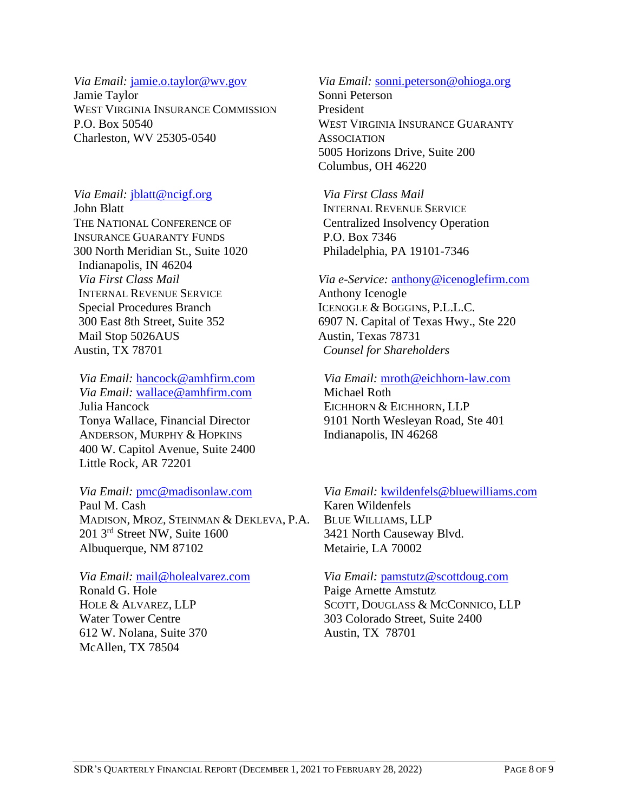#### *Via Email:* [jamie.o.taylor@wv.gov](mailto:jamie.o.taylor@wv.gov)

Jamie Taylor WEST VIRGINIA INSURANCE COMMISSION P.O. Box 50540 Charleston, WV 25305-0540

## *Via Email:* [jblatt@ncigf.org](mailto:jblatt@ncigf.org)

John Blatt THE NATIONAL CONFERENCE OF INSURANCE GUARANTY FUNDS 300 North Meridian St., Suite 1020 Indianapolis, IN 46204 *Via First Class Mail* INTERNAL REVENUE SERVICE Special Procedures Branch 300 East 8th Street, Suite 352 Mail Stop 5026AUS Austin, TX 78701

*Via Email:* [hancock@amhfirm.com](mailto:hancock@amhfirm.com) *Via Email:* [wallace@amhfirm.com](mailto:wallace@amhfirm.com) Julia Hancock Tonya Wallace, Financial Director ANDERSON, MURPHY & HOPKINS 400 W. Capitol Avenue, Suite 2400 Little Rock, AR 72201

*Via Email:* [pmc@madisonlaw.com](mailto:pmc@madisonlaw.com) Paul M. Cash MADISON, MROZ, STEINMAN & DEKLEVA, P.A. 201 3rd Street NW, Suite 1600 Albuquerque, NM 87102

*Via Email:* [mail@holealvarez.com](mailto:mail@holealvarez.com) Ronald G. Hole HOLE & ALVAREZ, LLP Water Tower Centre 612 W. Nolana, Suite 370 McAllen, TX 78504

# *Via Email:* [sonni.peterson@ohioga.org](mailto:sonni.peterson@ohioga.org)

Sonni Peterson President WEST VIRGINIA INSURANCE GUARANTY **ASSOCIATION** 5005 Horizons Drive, Suite 200 Columbus, OH 46220

*Via First Class Mail* INTERNAL REVENUE SERVICE Centralized Insolvency Operation P.O. Box 7346 Philadelphia, PA 19101-7346

## *Via e-Service:* [anthony@icenoglefirm.com](mailto:anthony@icenoglefirm.com) Anthony Icenogle ICENOGLE & BOGGINS, P.L.L.C. 6907 N. Capital of Texas Hwy., Ste 220 Austin, Texas 78731 *Counsel for Shareholders*

*Via Email:* [mroth@eichhorn-law.com](mailto:mroth@eichhorn-law.com)

Michael Roth EICHHORN & EICHHORN, LLP 9101 North Wesleyan Road, Ste 401 Indianapolis, IN 46268

*Via Email:* [kwildenfels@bluewilliams.com](mailto:kwildenfels@bluewilliams.com) Karen Wildenfels

BLUE WILLIAMS, LLP 3421 North Causeway Blvd. Metairie, LA 70002

## *Via Email:* [pamstutz@scottdoug.com](mailto:pamstutz@scottdoug.com)

Paige Arnette Amstutz SCOTT, DOUGLASS & MCCONNICO, LLP 303 Colorado Street, Suite 2400 Austin, TX 78701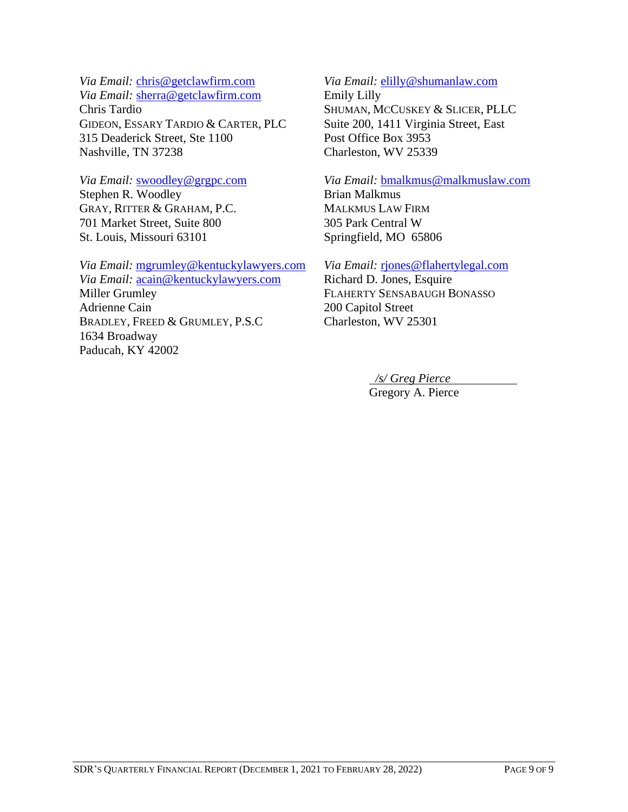*Via Email:* [chris@getclawfirm.com](mailto:chris@getclawfirm.com)

*Via Email:* [sherra@getclawfirm.com](mailto:sherra@getclawfirm.com) Chris Tardio GIDEON, ESSARY TARDIO & CARTER, PLC 315 Deaderick Street, Ste 1100 Nashville, TN 37238

*Via Email:* [swoodley@grgpc.com](mailto:swoodley@grgpc.com) Stephen R. Woodley GRAY, RITTER & GRAHAM, P.C. 701 Market Street, Suite 800 St. Louis, Missouri 63101

*Via Email:* [mgrumley@kentuckylawyers.com](mailto:mgrumley@kentuckylawyers.com) *Via Email:* [acain@kentuckylawyers.com](mailto:acain@kentuckylawyers.com) Miller Grumley Adrienne Cain BRADLEY, FREED & GRUMLEY, P.S.C 1634 Broadway Paducah, KY 42002

#### *Via Email:* [elilly@shumanlaw.com](mailto:elilly@shumanlaw.com)

Emily Lilly SHUMAN, MCCUSKEY & SLICER, PLLC Suite 200, 1411 Virginia Street, East Post Office Box 3953 Charleston, WV 25339

*Via Email:* [bmalkmus@malkmuslaw.com](mailto:bmalkmus@malkmuslaw.com) Brian Malkmus MALKMUS LAW FIRM 305 Park Central W Springfield, MO 65806

*Via Email:* [rjones@flahertylegal.com](mailto:rjones@flahertylegal.com)

Richard D. Jones, Esquire FLAHERTY SENSABAUGH BONASSO 200 Capitol Street Charleston, WV 25301

*/s/ Greg Pierce*

Gregory A. Pierce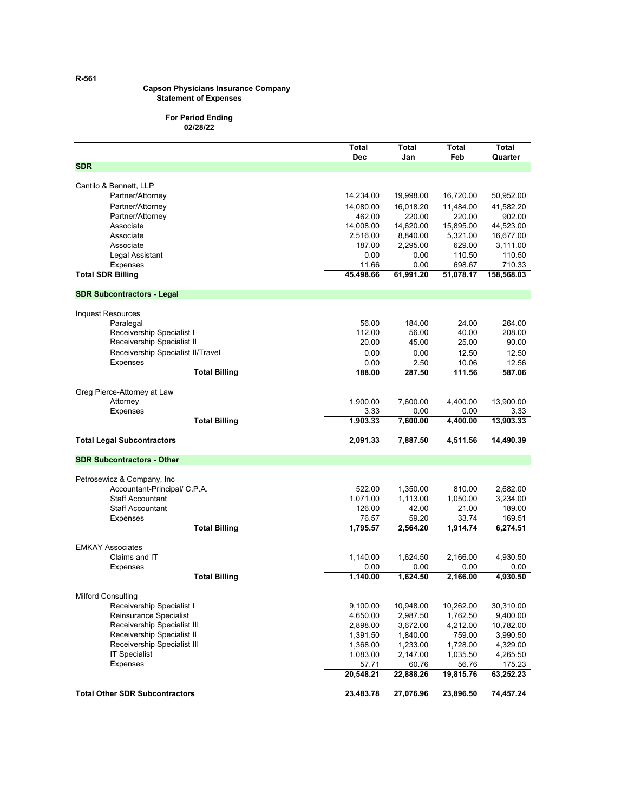#### **Capson Physicians Insurance Company Statement of Expenses**

#### **For Period Ending 02/28/22**

|                                       | Total<br><b>Dec</b> | Total<br>Jan     | <b>Total</b><br>Feb | Total<br>Quarter   |
|---------------------------------------|---------------------|------------------|---------------------|--------------------|
| <b>SDR</b>                            |                     |                  |                     |                    |
|                                       |                     |                  |                     |                    |
| Cantilo & Bennett, LLP                |                     |                  |                     |                    |
| Partner/Attorney                      | 14,234.00           | 19,998.00        | 16,720.00           | 50,952.00          |
| Partner/Attorney                      | 14,080.00           | 16,018.20        | 11,484.00           | 41,582.20          |
| Partner/Attorney                      | 462.00              | 220.00           | 220.00              | 902.00             |
| Associate                             | 14,008.00           | 14,620.00        | 15,895.00           | 44,523.00          |
| Associate<br>Associate                | 2,516.00            | 8,840.00         | 5,321.00            | 16,677.00          |
| Legal Assistant                       | 187.00<br>0.00      | 2,295.00<br>0.00 | 629.00<br>110.50    | 3,111.00<br>110.50 |
| Expenses                              | 11.66               | 0.00             | 698.67              | 710.33             |
| <b>Total SDR Billing</b>              | 45,498.66           | 61,991.20        | 51,078.17           | 158,568.03         |
|                                       |                     |                  |                     |                    |
| <b>SDR Subcontractors - Legal</b>     |                     |                  |                     |                    |
| <b>Inquest Resources</b>              |                     |                  |                     |                    |
| Paralegal                             | 56.00               | 184.00           | 24.00               | 264.00             |
| Receivership Specialist I             | 112.00              | 56.00            | 40.00               | 208.00             |
| Receivership Specialist II            | 20.00               | 45.00            | 25.00               | 90.00              |
| Receivership Specialist II/Travel     | 0.00                | 0.00             | 12.50               | 12.50              |
| Expenses                              | 0.00                | 2.50             | 10.06               | 12.56              |
| <b>Total Billing</b>                  | 188.00              | 287.50           | 111.56              | 587.06             |
| Greg Pierce-Attorney at Law           |                     |                  |                     |                    |
| Attorney                              | 1,900.00            | 7,600.00         | 4.400.00            | 13,900.00          |
| <b>Expenses</b>                       | 3.33                | 0.00             | 0.00                | 3.33               |
| <b>Total Billing</b>                  | 1,903.33            | 7,600.00         | 4,400.00            | 13,903.33          |
| <b>Total Legal Subcontractors</b>     | 2,091.33            | 7,887.50         | 4,511.56            | 14,490.39          |
|                                       |                     |                  |                     |                    |
| <b>SDR Subcontractors - Other</b>     |                     |                  |                     |                    |
| Petrosewicz & Company, Inc.           |                     |                  |                     |                    |
| Accountant-Principal/ C.P.A.          | 522.00              | 1,350.00         | 810.00              | 2,682.00           |
| <b>Staff Accountant</b>               | 1,071.00            | 1,113.00         | 1,050.00            | 3,234.00           |
| <b>Staff Accountant</b>               | 126.00              | 42.00            | 21.00               | 189.00             |
| Expenses                              | 76.57               | 59.20            | 33.74               | 169.51             |
| <b>Total Billing</b>                  | 1,795.57            | 2,564.20         | 1,914.74            | 6,274.51           |
| <b>EMKAY Associates</b>               |                     |                  |                     |                    |
| Claims and IT                         | 1.140.00            | 1,624.50         | 2,166.00            | 4,930.50           |
| <b>Expenses</b>                       | 0.00                | 0.00             | 0.00                | 0.00               |
| <b>Total Billing</b>                  | 1,140.00            | 1,624.50         | 2,166.00            | 4,930.50           |
| <b>Milford Consulting</b>             |                     |                  |                     |                    |
| Receivership Specialist I             | 9,100.00            | 10,948.00        | 10,262.00           | 30,310.00          |
| Reinsurance Specialist                | 4,650.00            | 2,987.50         | 1,762.50            | 9,400.00           |
| Receivership Specialist III           | 2,898.00            | 3,672.00         | 4,212.00            | 10,782.00          |
| Receivership Specialist II            | 1,391.50            | 1,840.00         | 759.00              | 3,990.50           |
| Receivership Specialist III           | 1,368.00            | 1,233.00         | 1,728.00            | 4,329.00           |
| <b>IT Specialist</b>                  | 1,083.00            | 2,147.00         | 1,035.50            | 4,265.50           |
| Expenses                              | 57.71               | 60.76            | 56.76               | 175.23             |
|                                       | 20,548.21           | 22,888.26        | 19,815.76           | 63,252.23          |
| <b>Total Other SDR Subcontractors</b> | 23,483.78           | 27,076.96        | 23,896.50           | 74,457.24          |

**R-561**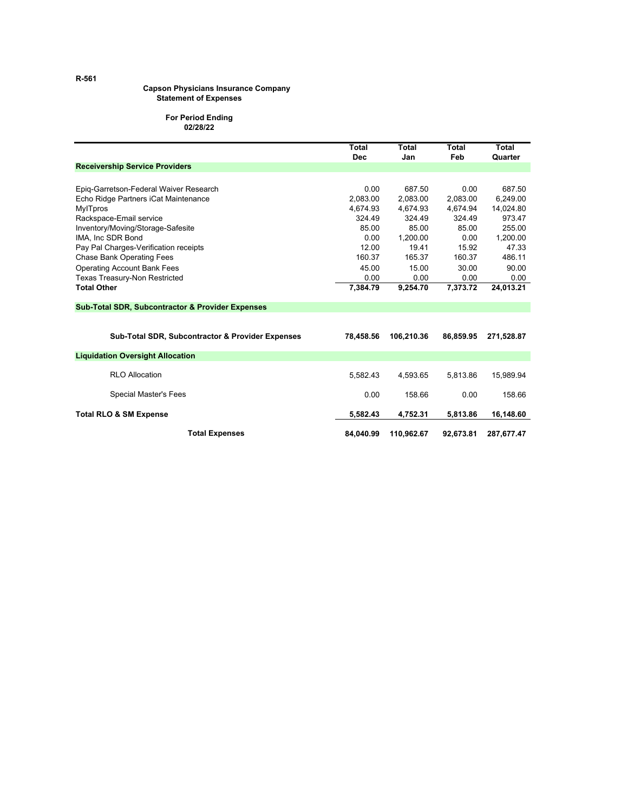#### **Capson Physicians Insurance Company Statement of Expenses**

#### **For Period Ending 02/28/22**

|                                                             | Total<br><b>Dec</b> | Total<br>Jan | Total<br>Feb | Total<br>Quarter |
|-------------------------------------------------------------|---------------------|--------------|--------------|------------------|
| <b>Receivership Service Providers</b>                       |                     |              |              |                  |
|                                                             |                     |              |              |                  |
| Epig-Garretson-Federal Waiver Research                      | 0.00                | 687.50       | 0.00         | 687.50           |
| Echo Ridge Partners iCat Maintenance                        | 2,083.00            | 2,083.00     | 2,083.00     | 6,249.00         |
| <b>MylTpros</b>                                             | 4.674.93            | 4,674.93     | 4,674.94     | 14,024.80        |
| Rackspace-Email service                                     | 324.49              | 324.49       | 324.49       | 973.47           |
| Inventory/Moving/Storage-Safesite                           | 85.00               | 85.00        | 85.00        | 255.00           |
| IMA, Inc SDR Bond                                           | 0.00                | 1,200.00     | 0.00         | 1,200.00         |
| Pay Pal Charges-Verification receipts                       | 12.00               | 19.41        | 15.92        | 47.33            |
| <b>Chase Bank Operating Fees</b>                            | 160.37              | 165.37       | 160.37       | 486.11           |
| <b>Operating Account Bank Fees</b>                          | 45.00               | 15.00        | 30.00        | 90.00            |
| Texas Treasury-Non Restricted                               | 0.00                | 0.00         | 0.00         | 0.00             |
| <b>Total Other</b>                                          | 7,384.79            | 9,254.70     | 7,373.72     | 24,013.21        |
|                                                             |                     |              |              |                  |
| <b>Sub-Total SDR, Subcontractor &amp; Provider Expenses</b> |                     |              |              |                  |
|                                                             |                     |              |              |                  |
| <b>Sub-Total SDR, Subcontractor &amp; Provider Expenses</b> | 78,458.56           | 106,210.36   | 86,859.95    | 271,528.87       |
| <b>Liquidation Oversight Allocation</b>                     |                     |              |              |                  |
| <b>RLO Allocation</b>                                       | 5.582.43            | 4.593.65     | 5.813.86     | 15,989.94        |
| Special Master's Fees                                       | 0.00                | 158.66       | 0.00         | 158.66           |
| <b>Total RLO &amp; SM Expense</b>                           | 5.582.43            | 4,752.31     | 5.813.86     | 16,148.60        |
| <b>Total Expenses</b>                                       | 84.040.99           | 110,962.67   | 92,673.81    | 287,677.47       |

**R-561**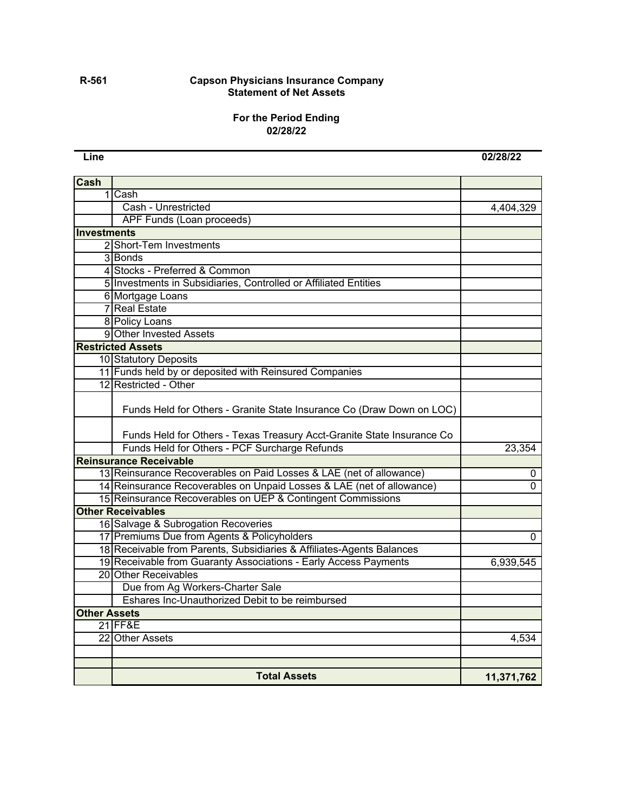#### **R-561 Capson Physicians Insurance Company Statement of Net Assets**

## **For the Period Ending 02/28/22**

**Line 02/28/22**

| Cash                |                                                                                                                                                 |            |
|---------------------|-------------------------------------------------------------------------------------------------------------------------------------------------|------------|
|                     | 1 Cash                                                                                                                                          |            |
|                     | Cash - Unrestricted                                                                                                                             | 4,404,329  |
|                     | <b>APF Funds (Loan proceeds)</b>                                                                                                                |            |
| Investments         |                                                                                                                                                 |            |
|                     | 2 Short-Tem Investments                                                                                                                         |            |
|                     | 3 Bonds                                                                                                                                         |            |
|                     | 4 Stocks - Preferred & Common                                                                                                                   |            |
|                     | 5 Investments in Subsidiaries, Controlled or Affiliated Entities                                                                                |            |
|                     | 6 Mortgage Loans                                                                                                                                |            |
|                     | <b>7</b> Real Estate                                                                                                                            |            |
|                     | 8 Policy Loans                                                                                                                                  |            |
|                     | 9 Other Invested Assets                                                                                                                         |            |
|                     | <b>Restricted Assets</b>                                                                                                                        |            |
|                     | 10 Statutory Deposits                                                                                                                           |            |
|                     | 11 Funds held by or deposited with Reinsured Companies                                                                                          |            |
|                     | 12 Restricted - Other                                                                                                                           |            |
|                     | Funds Held for Others - Granite State Insurance Co (Draw Down on LOC)<br>Funds Held for Others - Texas Treasury Acct-Granite State Insurance Co |            |
|                     | Funds Held for Others - PCF Surcharge Refunds                                                                                                   | 23,354     |
|                     | <b>Reinsurance Receivable</b>                                                                                                                   |            |
|                     | 13 Reinsurance Recoverables on Paid Losses & LAE (net of allowance)                                                                             | 0          |
|                     | 14 Reinsurance Recoverables on Unpaid Losses & LAE (net of allowance)                                                                           | $\Omega$   |
|                     | 15 Reinsurance Recoverables on UEP & Contingent Commissions                                                                                     |            |
|                     | <b>Other Receivables</b>                                                                                                                        |            |
|                     | 16 Salvage & Subrogation Recoveries                                                                                                             |            |
|                     | 17 Premiums Due from Agents & Policyholders                                                                                                     | 0          |
|                     | 18 Receivable from Parents, Subsidiaries & Affiliates-Agents Balances                                                                           |            |
|                     | 19 Receivable from Guaranty Associations - Early Access Payments                                                                                | 6,939,545  |
|                     | 20 Other Receivables                                                                                                                            |            |
|                     | Due from Ag Workers-Charter Sale                                                                                                                |            |
|                     | Eshares Inc-Unauthorized Debit to be reimbursed                                                                                                 |            |
| <b>Other Assets</b> |                                                                                                                                                 |            |
|                     | <b>21 FF&amp;E</b>                                                                                                                              |            |
|                     | 22 Other Assets                                                                                                                                 | 4,534      |
|                     |                                                                                                                                                 |            |
|                     |                                                                                                                                                 |            |
|                     | <b>Total Assets</b>                                                                                                                             | 11,371,762 |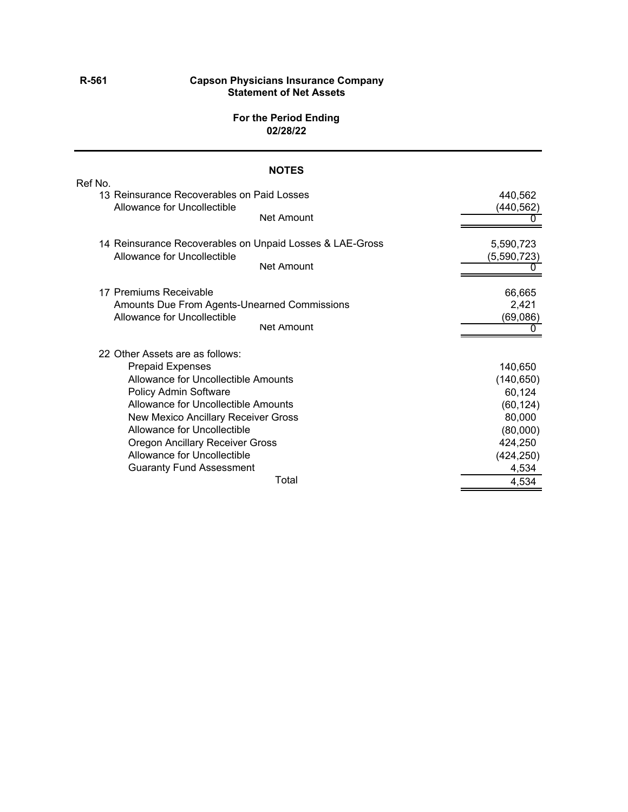#### **R-561 Capson Physicians Insurance Company Statement of Net Assets**

#### **For the Period Ending 02/28/22**

## **NOTES** Ref No. 13 Reinsurance Recoverables on Paid Losses 440,562 Allowance for Uncollectible (440,562) Net Amount  $\overline{0}$ 14 Reinsurance Recoverables on Unpaid Losses & LAE-Gross 5,590,723 Allowance for Uncollectible (5,590,723) Net Amount  $\overline{0}$ 17 Premiums Receivable 66,665 Amounts Due From Agents-Unearned Commissions 2,421 Allowance for Uncollectible (69,086) Net Amount  $\overline{0}$ 22 Other Assets are as follows: Prepaid Expenses 140,650 Allowance for Uncollectible Amounts (140,650) Policy Admin Software 60,124 Allowance for Uncollectible Amounts (60,124) New Mexico Ancillary Receiver Gross 80,000 and 1990 and 1990 and 1990 and 1990 and 1990 and 1990 and 1990 and 1 Allowance for Uncollectible (80,000) Oregon Ancillary Receiver Gross 424,250 Allowance for Uncollectible (424,250) Guaranty Fund Assessment<br>
Total 1534<br>
4534<br>
4534<br>
4534 Total 4,534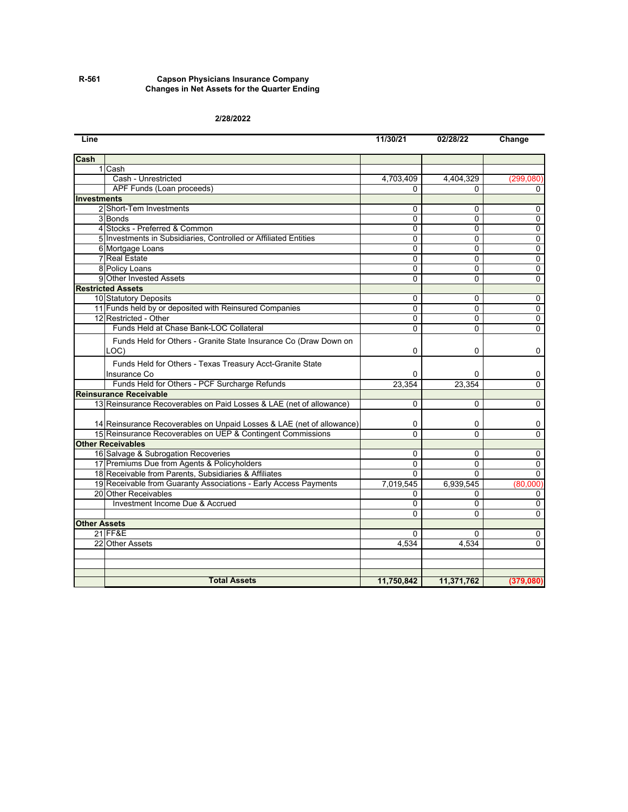#### **R-561 Capson Physicians Insurance Company Changes in Net Assets for the Quarter Ending**

#### **2/28/2022**

| Line                |                                                                       | 11/30/21       | 02/28/22     | Change    |
|---------------------|-----------------------------------------------------------------------|----------------|--------------|-----------|
| Cash                |                                                                       |                |              |           |
|                     | 1 Cash                                                                |                |              |           |
|                     | Cash - Unrestricted                                                   | 4,703,409      | 4,404,329    | (299,080) |
|                     | APF Funds (Loan proceeds)                                             | U              | <sup>n</sup> | 0         |
| <b>Investments</b>  |                                                                       |                |              |           |
|                     | 2 Short-Tem Investments                                               | 0              | 0            | 0         |
|                     | 3 Bonds                                                               | 0              | $\Omega$     | 0         |
|                     | 4 Stocks - Preferred & Common                                         | 0              | 0            | 0         |
|                     | 5 Investments in Subsidiaries, Controlled or Affiliated Entities      | 0              | 0            | 0         |
|                     | 6 Mortgage Loans                                                      | 0              | 0            | 0         |
|                     | <b>7</b> Real Estate                                                  | 0              | $\Omega$     | 0         |
|                     | 8 Policy Loans                                                        | 0              | 0            | 0         |
|                     | 9 Other Invested Assets                                               | $\Omega$       | $\Omega$     | $\Omega$  |
|                     | <b>Restricted Assets</b>                                              |                |              |           |
|                     | 10 Statutory Deposits                                                 | 0              | 0            | 0         |
|                     | 11 Funds held by or deposited with Reinsured Companies                | 0              | $\Omega$     | 0         |
|                     | 12 Restricted - Other                                                 | 0              | 0            | 0         |
|                     | Funds Held at Chase Bank-LOC Collateral                               | 0              | 0            | 0         |
|                     | Funds Held for Others - Granite State Insurance Co (Draw Down on      |                |              |           |
|                     | LOC)                                                                  | 0              | 0            | 0         |
|                     | Funds Held for Others - Texas Treasury Acct-Granite State             |                |              |           |
|                     | Insurance Co                                                          | 0              | 0            |           |
|                     | Funds Held for Others - PCF Surcharge Refunds                         | 23,354         | 23,354       | 0<br>0    |
|                     | <b>Reinsurance Receivable</b>                                         |                |              |           |
|                     | 13 Reinsurance Recoverables on Paid Losses & LAE (net of allowance)   | 0              | $\Omega$     | 0         |
|                     |                                                                       |                |              |           |
|                     | 14 Reinsurance Recoverables on Unpaid Losses & LAE (net of allowance) | 0              | 0            | 0         |
|                     | 15 Reinsurance Recoverables on UEP & Contingent Commissions           | 0              | 0            | 0         |
|                     | <b>Other Receivables</b>                                              |                |              |           |
|                     | 16 Salvage & Subrogation Recoveries                                   | 0              | $\Omega$     | 0         |
|                     | 17 Premiums Due from Agents & Policyholders                           | 0              | 0            | 0         |
|                     | 18 Receivable from Parents, Subsidiaries & Affiliates                 | $\Omega$       | $\Omega$     | 0         |
|                     | 19 Receivable from Guaranty Associations - Early Access Payments      | 7,019,545      | 6,939,545    | (80,000)  |
|                     | 20 Other Receivables                                                  | 0              | 0            | 0         |
|                     | Investment Income Due & Accrued                                       | 0              | $\Omega$     | 0         |
|                     |                                                                       | $\overline{0}$ | $\Omega$     | 0         |
| <b>Other Assets</b> |                                                                       |                |              |           |
|                     | 21 FF&E                                                               | 0              | 0            | 0         |
|                     | 22 Other Assets                                                       | 4,534          | 4,534        | 0         |
|                     |                                                                       |                |              |           |
|                     |                                                                       |                |              |           |
|                     |                                                                       |                |              |           |
|                     | <b>Total Assets</b>                                                   | 11,750,842     | 11,371,762   | (379,080) |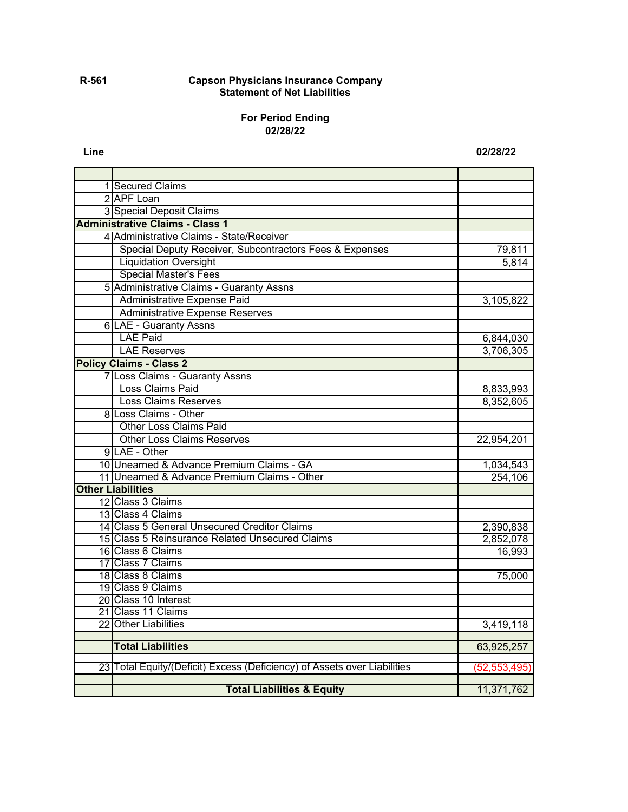#### **R-561 Capson Physicians Insurance Company Statement of Net Liabilities**

#### **For Period Ending 02/28/22**

**Line 02/28/22**

| 1 Secured Claims                                                         |                |
|--------------------------------------------------------------------------|----------------|
| 2 APF Loan                                                               |                |
| 3 Special Deposit Claims                                                 |                |
| <b>Administrative Claims - Class 1</b>                                   |                |
| 4 Administrative Claims - State/Receiver                                 |                |
| Special Deputy Receiver, Subcontractors Fees & Expenses                  | 79,811         |
| <b>Liquidation Oversight</b>                                             | 5,814          |
| <b>Special Master's Fees</b>                                             |                |
| 5 Administrative Claims - Guaranty Assns                                 |                |
| Administrative Expense Paid                                              | 3,105,822      |
| <b>Administrative Expense Reserves</b>                                   |                |
| 6 LAE - Guaranty Assns                                                   |                |
| <b>LAE Paid</b>                                                          | 6,844,030      |
| <b>LAE Reserves</b>                                                      | 3,706,305      |
| <b>Policy Claims - Class 2</b>                                           |                |
| 7 Loss Claims - Guaranty Assns                                           |                |
| Loss Claims Paid                                                         | 8,833,993      |
| <b>Loss Claims Reserves</b>                                              | 8,352,605      |
| 8 Loss Claims - Other                                                    |                |
| <b>Other Loss Claims Paid</b>                                            |                |
| <b>Other Loss Claims Reserves</b>                                        | 22,954,201     |
| 9 LAE - Other                                                            |                |
| 10 Unearned & Advance Premium Claims - GA                                | 1,034,543      |
| 11 Unearned & Advance Premium Claims - Other                             | 254,106        |
| <b>Other Liabilities</b>                                                 |                |
| 12 Class 3 Claims                                                        |                |
| 13 Class 4 Claims                                                        |                |
| 14 Class 5 General Unsecured Creditor Claims                             | 2,390,838      |
| 15 Class 5 Reinsurance Related Unsecured Claims                          | 2,852,078      |
| 16 Class 6 Claims                                                        | 16,993         |
| 17 Class 7 Claims                                                        |                |
| 18 Class 8 Claims                                                        | 75,000         |
| 19 Class 9 Claims                                                        |                |
| 20 Class 10 Interest                                                     |                |
| 21 Class 11 Claims                                                       |                |
| 22 Other Liabilities                                                     | 3,419,118      |
| <b>Total Liabilities</b>                                                 | 63,925,257     |
|                                                                          |                |
| 23 Total Equity/(Deficit) Excess (Deficiency) of Assets over Liabilities | (52, 553, 495) |
|                                                                          |                |
| <b>Total Liabilities &amp; Equity</b>                                    | 11,371,762     |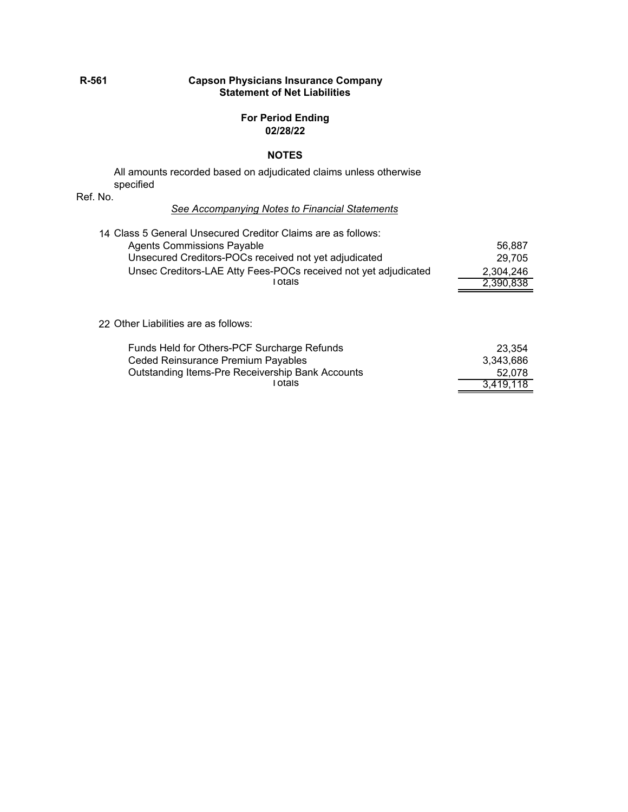#### **R-561 Capson Physicians Insurance Company Statement of Net Liabilities**

#### **For Period Ending 02/28/22**

#### **NOTES**

All amounts recorded based on adjudicated claims unless otherwise specified

Ref. No.

#### *See Accompanying Notes to Financial Statements*

| 14 Class 5 General Unsecured Creditor Claims are as follows:    |           |
|-----------------------------------------------------------------|-----------|
| <b>Agents Commissions Payable</b>                               | 56,887    |
| Unsecured Creditors-POCs received not yet adjudicated           | 29.705    |
| Unsec Creditors-LAE Atty Fees-POCs received not yet adjudicated | 2,304,246 |
| Totals                                                          | 2,390,838 |

#### 22 Other Liabilities are as follows:

| Funds Held for Others-PCF Surcharge Refunds      | 23.354    |
|--------------------------------------------------|-----------|
| Ceded Reinsurance Premium Payables               | 3.343.686 |
| Outstanding Items-Pre Receivership Bank Accounts | 52.078    |
| ⊺otals                                           | 3,419,118 |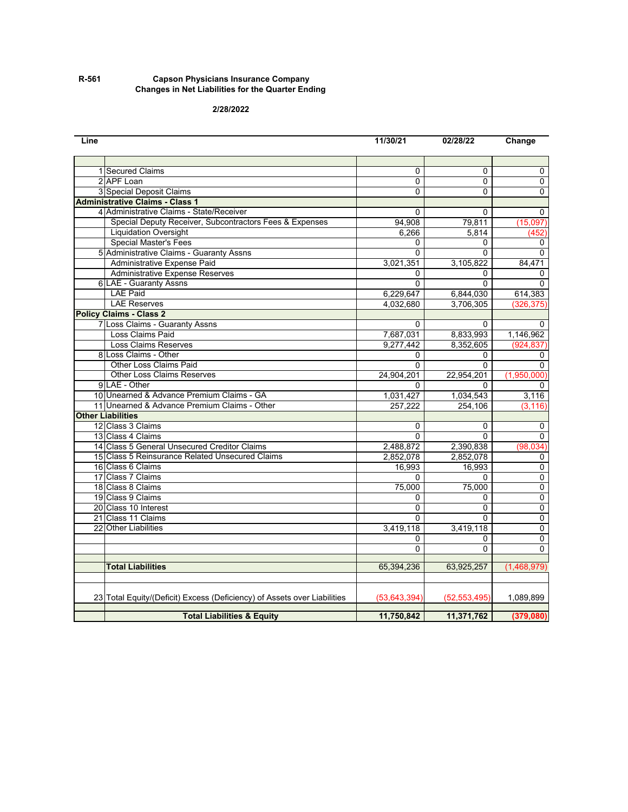#### **R-561 Capson Physicians Insurance Company Changes in Net Liabilities for the Quarter Ending**

#### **2/28/2022**

| Line |                                                                          | 11/30/21       | 02/28/22       | Change         |
|------|--------------------------------------------------------------------------|----------------|----------------|----------------|
|      |                                                                          |                |                |                |
|      | 1 Secured Claims                                                         | 0              | $\Omega$       | $\Omega$       |
|      | 2 APF Loan                                                               | 0              | $\mathbf 0$    | 0              |
|      | 3 Special Deposit Claims                                                 | $\overline{0}$ | $\Omega$       | 0              |
|      | <b>Administrative Claims - Class 1</b>                                   |                |                |                |
|      | 4 Administrative Claims - State/Receiver                                 | 0              | $\Omega$       | 0              |
|      | Special Deputy Receiver, Subcontractors Fees & Expenses                  | 94,908         | 79,811         | (15,097)       |
|      | <b>Liquidation Oversight</b>                                             | 6,266          | 5,814          | (452`          |
|      | <b>Special Master's Fees</b>                                             | 0              | $\Omega$       | 0              |
|      | 5 Administrative Claims - Guaranty Assns                                 | 0              | $\Omega$       | 0              |
|      | Administrative Expense Paid                                              | 3,021,351      | 3,105,822      | 84.471         |
|      | <b>Administrative Expense Reserves</b>                                   | 0              | 0              | 0              |
|      | <b>6 LAE - Guaranty Assns</b>                                            | 0              | $\overline{0}$ | $\Omega$       |
|      | <b>LAE Paid</b>                                                          | 6,229,647      | 6,844,030      | 614,383        |
|      | <b>LAE Reserves</b>                                                      | 4,032,680      | 3,706,305      | (326, 375)     |
|      | <b>Policy Claims - Class 2</b>                                           |                |                |                |
|      | 7 Loss Claims - Guaranty Assns                                           | 0              | 0              | 0              |
|      | Loss Claims Paid                                                         | 7,687,031      | 8,833,993      | 1,146,962      |
|      | <b>Loss Claims Reserves</b>                                              | 9,277,442      | 8,352,605      | (924, 837)     |
|      | 8 Loss Claims - Other                                                    | 0              | $\Omega$       | $\Omega$       |
|      | <b>Other Loss Claims Paid</b>                                            | 0              | $\Omega$       | 0              |
|      | <b>Other Loss Claims Reserves</b>                                        | 24,904,201     | 22,954,201     | (1,950,000)    |
|      | 9 LAE - Other                                                            | 0              | 0              | 0              |
|      | 10 Unearned & Advance Premium Claims - GA                                | 1,031,427      | 1,034,543      | 3,116          |
|      | 11 Unearned & Advance Premium Claims - Other                             | 257,222        | 254,106        | (3, 116)       |
|      | <b>Other Liabilities</b>                                                 |                |                |                |
|      | 12 Class 3 Claims                                                        | 0              | 0              | 0              |
|      | 13 Class 4 Claims                                                        | $\Omega$       | $\Omega$       | 0              |
|      | 14 Class 5 General Unsecured Creditor Claims                             | 2,488,872      | 2,390,838      | (98, 034)      |
|      | 15 Class 5 Reinsurance Related Unsecured Claims                          | 2,852,078      | 2,852,078      | 0              |
|      | 16 Class 6 Claims                                                        | 16,993         | 16,993         | 0              |
|      | 17 Class 7 Claims                                                        | 0              | $\Omega$       | 0              |
|      | 18 Class 8 Claims                                                        | 75,000         | 75,000         | 0              |
|      | 19 Class 9 Claims                                                        | 0              | 0              | $\overline{0}$ |
|      | 20 Class 10 Interest                                                     | 0              | $\Omega$       | $\pmb{0}$      |
|      | 21 Class 11 Claims                                                       | 0              | $\Omega$       | $\overline{0}$ |
|      | 22 Other Liabilities                                                     | 3,419,118      | 3,419,118      | $\overline{0}$ |
|      |                                                                          | 0              | 0              | $\overline{0}$ |
|      |                                                                          | O              | $\Omega$       | 0              |
|      | <b>Total Liabilities</b>                                                 | 65,394,236     | 63,925,257     | (1,468,979)    |
|      |                                                                          |                |                |                |
|      |                                                                          |                |                |                |
|      | 23 Total Equity/(Deficit) Excess (Deficiency) of Assets over Liabilities | (53, 643, 394) | (52, 553, 495) | 1,089,899      |
|      |                                                                          |                |                |                |
|      | <b>Total Liabilities &amp; Equity</b>                                    | 11,750,842     | 11,371,762     | (379,080)      |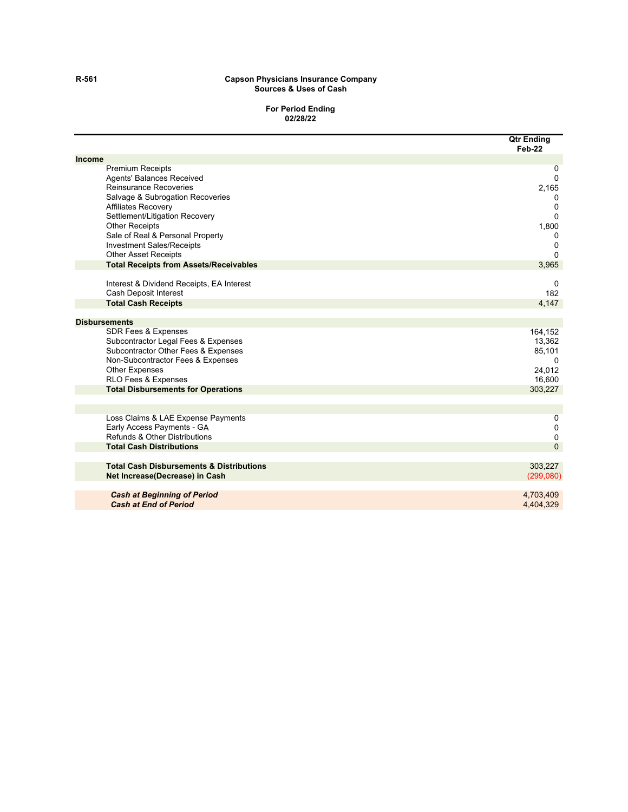#### **R-561 Capson Physicians Insurance Company Sources & Uses of Cash**

#### **For Period Ending 02/28/22**

|                                                     | <b>Qtr Ending</b><br>Feb-22 |
|-----------------------------------------------------|-----------------------------|
| <b>Income</b>                                       |                             |
| <b>Premium Receipts</b>                             | 0                           |
| <b>Agents' Balances Received</b>                    | $\Omega$                    |
| Reinsurance Recoveries                              | 2,165                       |
| Salvage & Subrogation Recoveries                    | 0                           |
| <b>Affiliates Recovery</b>                          | 0                           |
| Settlement/Litigation Recovery                      | 0                           |
| <b>Other Receipts</b>                               | 1,800                       |
| Sale of Real & Personal Property                    | 0                           |
| <b>Investment Sales/Receipts</b>                    | 0                           |
| <b>Other Asset Receipts</b>                         | $\Omega$                    |
| <b>Total Receipts from Assets/Receivables</b>       | 3,965                       |
| Interest & Dividend Receipts, EA Interest           | 0                           |
| Cash Deposit Interest                               | 182                         |
| <b>Total Cash Receipts</b>                          | 4,147                       |
| <b>Disbursements</b>                                |                             |
| <b>SDR Fees &amp; Expenses</b>                      | 164,152                     |
| Subcontractor Legal Fees & Expenses                 | 13,362                      |
| Subcontractor Other Fees & Expenses                 | 85,101                      |
| Non-Subcontractor Fees & Expenses                   | 0                           |
| <b>Other Expenses</b>                               | 24,012                      |
| RLO Fees & Expenses                                 | 16,600                      |
| <b>Total Disbursements for Operations</b>           | 303,227                     |
|                                                     |                             |
| Loss Claims & LAE Expense Payments                  | 0                           |
| Early Access Payments - GA                          | 0                           |
| Refunds & Other Distributions                       | 0                           |
| <b>Total Cash Distributions</b>                     | $\Omega$                    |
| <b>Total Cash Disbursements &amp; Distributions</b> | 303,227                     |
| Net Increase (Decrease) in Cash                     | (299,080)                   |
| <b>Cash at Beginning of Period</b>                  | 4,703,409                   |
| <b>Cash at End of Period</b>                        | 4.404.329                   |